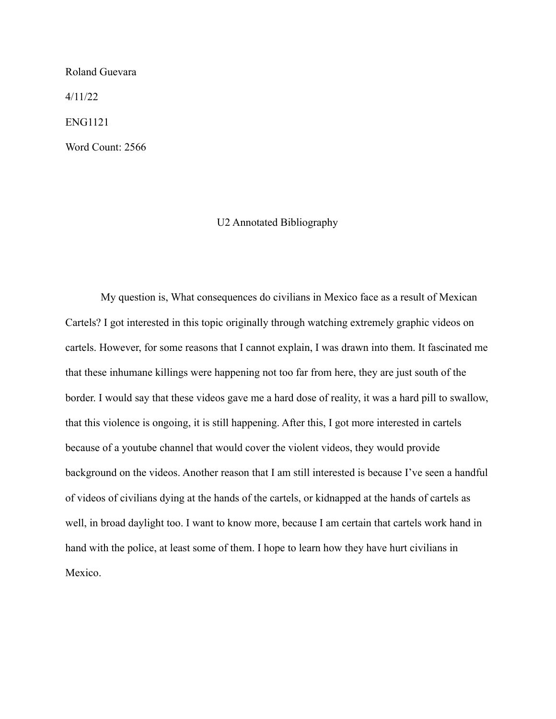#### Roland Guevara

4/11/22

ENG1121

Word Count: 2566

### U2 Annotated Bibliography

My question is, What consequences do civilians in Mexico face as a result of Mexican Cartels? I got interested in this topic originally through watching extremely graphic videos on cartels. However, for some reasons that I cannot explain, I was drawn into them. It fascinated me that these inhumane killings were happening not too far from here, they are just south of the border. I would say that these videos gave me a hard dose of reality, it was a hard pill to swallow, that this violence is ongoing, it is still happening. After this, I got more interested in cartels because of a youtube channel that would cover the violent videos, they would provide background on the videos. Another reason that I am still interested is because I've seen a handful of videos of civilians dying at the hands of the cartels, or kidnapped at the hands of cartels as well, in broad daylight too. I want to know more, because I am certain that cartels work hand in hand with the police, at least some of them. I hope to learn how they have hurt civilians in Mexico.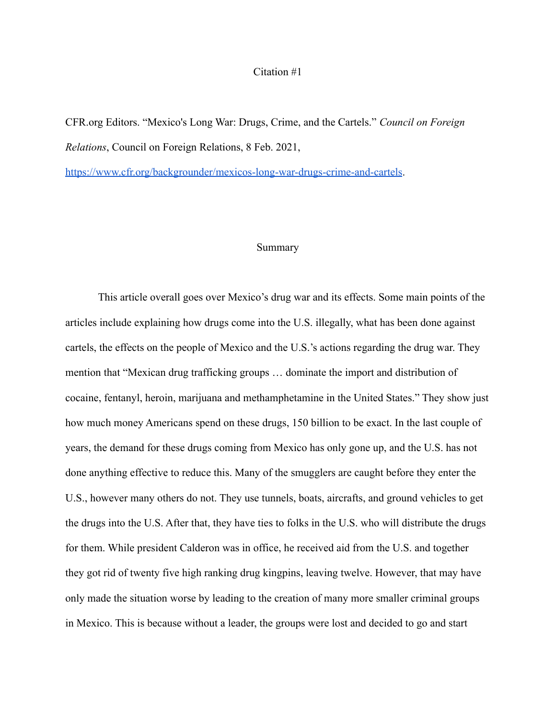### Citation #1

CFR.org Editors. "Mexico's Long War: Drugs, Crime, and the Cartels." *Council on Foreign Relations*, Council on Foreign Relations, 8 Feb. 2021,

<https://www.cfr.org/backgrounder/mexicos-long-war-drugs-crime-and-cartels>.

### Summary

This article overall goes over Mexico's drug war and its effects. Some main points of the articles include explaining how drugs come into the U.S. illegally, what has been done against cartels, the effects on the people of Mexico and the U.S.'s actions regarding the drug war. They mention that "Mexican drug trafficking groups … dominate the import and distribution of cocaine, fentanyl, heroin, marijuana and methamphetamine in the United States." They show just how much money Americans spend on these drugs, 150 billion to be exact. In the last couple of years, the demand for these drugs coming from Mexico has only gone up, and the U.S. has not done anything effective to reduce this. Many of the smugglers are caught before they enter the U.S., however many others do not. They use tunnels, boats, aircrafts, and ground vehicles to get the drugs into the U.S. After that, they have ties to folks in the U.S. who will distribute the drugs for them. While president Calderon was in office, he received aid from the U.S. and together they got rid of twenty five high ranking drug kingpins, leaving twelve. However, that may have only made the situation worse by leading to the creation of many more smaller criminal groups in Mexico. This is because without a leader, the groups were lost and decided to go and start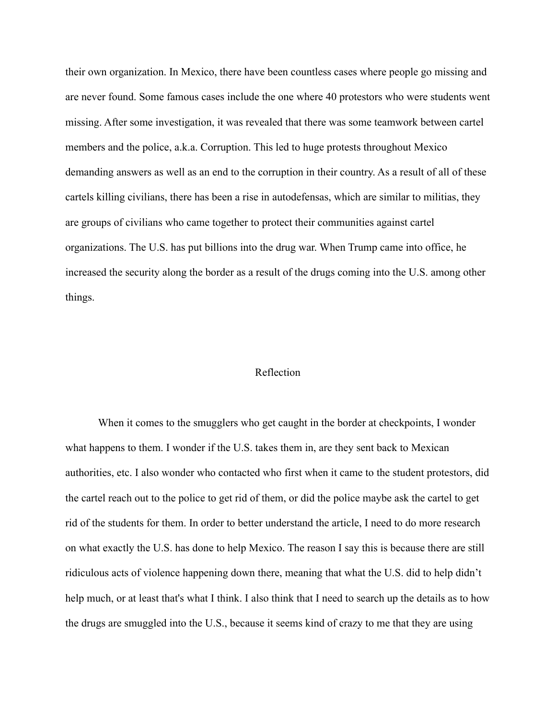their own organization. In Mexico, there have been countless cases where people go missing and are never found. Some famous cases include the one where 40 protestors who were students went missing. After some investigation, it was revealed that there was some teamwork between cartel members and the police, a.k.a. Corruption. This led to huge protests throughout Mexico demanding answers as well as an end to the corruption in their country. As a result of all of these cartels killing civilians, there has been a rise in autodefensas, which are similar to militias, they are groups of civilians who came together to protect their communities against cartel organizations. The U.S. has put billions into the drug war. When Trump came into office, he increased the security along the border as a result of the drugs coming into the U.S. among other things.

#### Reflection

When it comes to the smugglers who get caught in the border at checkpoints, I wonder what happens to them. I wonder if the U.S. takes them in, are they sent back to Mexican authorities, etc. I also wonder who contacted who first when it came to the student protestors, did the cartel reach out to the police to get rid of them, or did the police maybe ask the cartel to get rid of the students for them. In order to better understand the article, I need to do more research on what exactly the U.S. has done to help Mexico. The reason I say this is because there are still ridiculous acts of violence happening down there, meaning that what the U.S. did to help didn't help much, or at least that's what I think. I also think that I need to search up the details as to how the drugs are smuggled into the U.S., because it seems kind of crazy to me that they are using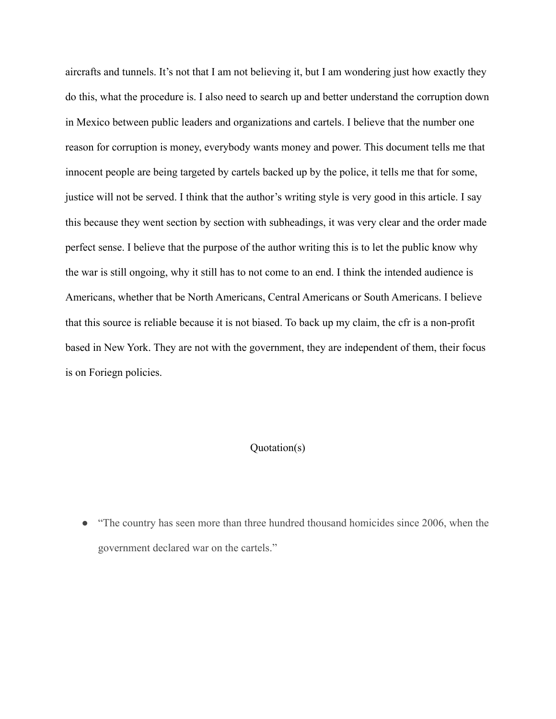aircrafts and tunnels. It's not that I am not believing it, but I am wondering just how exactly they do this, what the procedure is. I also need to search up and better understand the corruption down in Mexico between public leaders and organizations and cartels. I believe that the number one reason for corruption is money, everybody wants money and power. This document tells me that innocent people are being targeted by cartels backed up by the police, it tells me that for some, justice will not be served. I think that the author's writing style is very good in this article. I say this because they went section by section with subheadings, it was very clear and the order made perfect sense. I believe that the purpose of the author writing this is to let the public know why the war is still ongoing, why it still has to not come to an end. I think the intended audience is Americans, whether that be North Americans, Central Americans or South Americans. I believe that this source is reliable because it is not biased. To back up my claim, the cfr is a non-profit based in New York. They are not with the government, they are independent of them, their focus is on Foriegn policies.

## Quotation(s)

"The country has seen more than [three hundred thousand](https://www.inegi.org.mx/sistemas/olap/proyectos/bd/continuas/mortalidad/defuncioneshom.asp?s=est&c=28820&proy=mortgral_dh) homicides since 2006, when the government declared war on the cartels."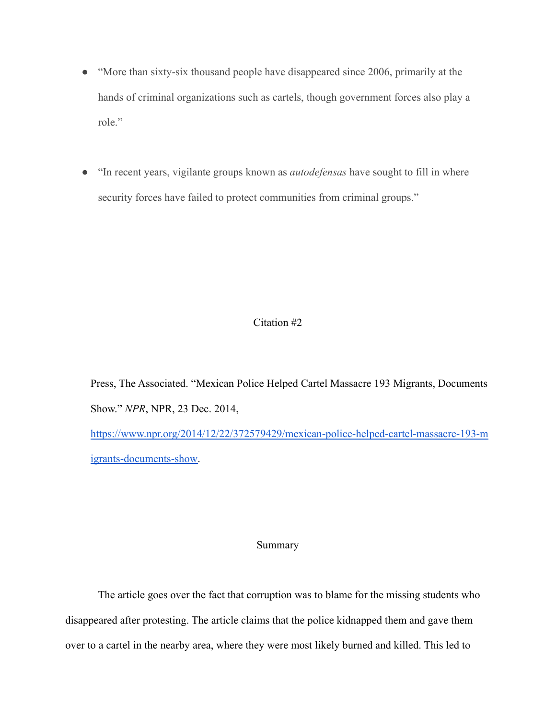- "More than sixty-six thousand people have disappeared since 2006, primarily at the hands of criminal organizations such as cartels, though government forces also play a role."
- "In recent years, vigilante groups known as *autodefensas* have sought to fill in where security forces have failed to protect communities from criminal groups."

# Citation #2

Press, The Associated. "Mexican Police Helped Cartel Massacre 193 Migrants, Documents Show." *NPR*, NPR, 23 Dec. 2014, [https://www.npr.org/2014/12/22/372579429/mexican-police-helped-cartel-massacre-193-m](https://www.npr.org/2014/12/22/372579429/mexican-police-helped-cartel-massacre-193-migrants-documents-show)

[igrants-documents-show.](https://www.npr.org/2014/12/22/372579429/mexican-police-helped-cartel-massacre-193-migrants-documents-show)

# Summary

The article goes over the fact that corruption was to blame for the missing students who disappeared after protesting. The article claims that the police kidnapped them and gave them over to a cartel in the nearby area, where they were most likely burned and killed. This led to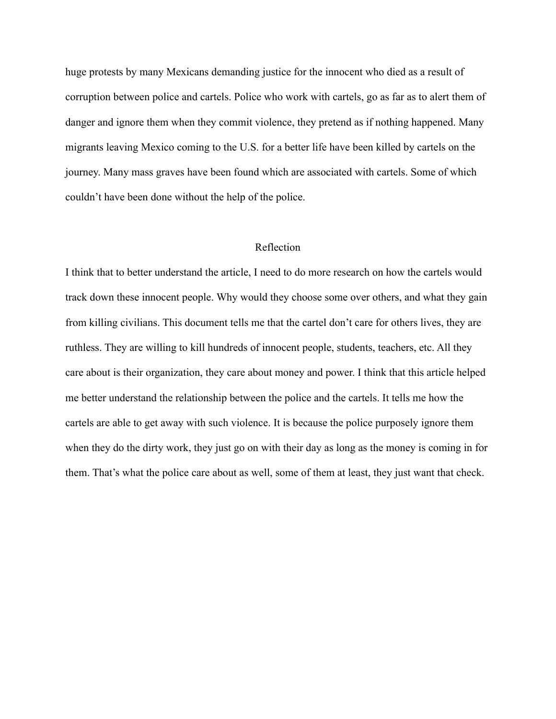huge protests by many Mexicans demanding justice for the innocent who died as a result of corruption between police and cartels. Police who work with cartels, go as far as to alert them of danger and ignore them when they commit violence, they pretend as if nothing happened. Many migrants leaving Mexico coming to the U.S. for a better life have been killed by cartels on the journey. Many mass graves have been found which are associated with cartels. Some of which couldn't have been done without the help of the police.

#### Reflection

I think that to better understand the article, I need to do more research on how the cartels would track down these innocent people. Why would they choose some over others, and what they gain from killing civilians. This document tells me that the cartel don't care for others lives, they are ruthless. They are willing to kill hundreds of innocent people, students, teachers, etc. All they care about is their organization, they care about money and power. I think that this article helped me better understand the relationship between the police and the cartels. It tells me how the cartels are able to get away with such violence. It is because the police purposely ignore them when they do the dirty work, they just go on with their day as long as the money is coming in for them. That's what the police care about as well, some of them at least, they just want that check.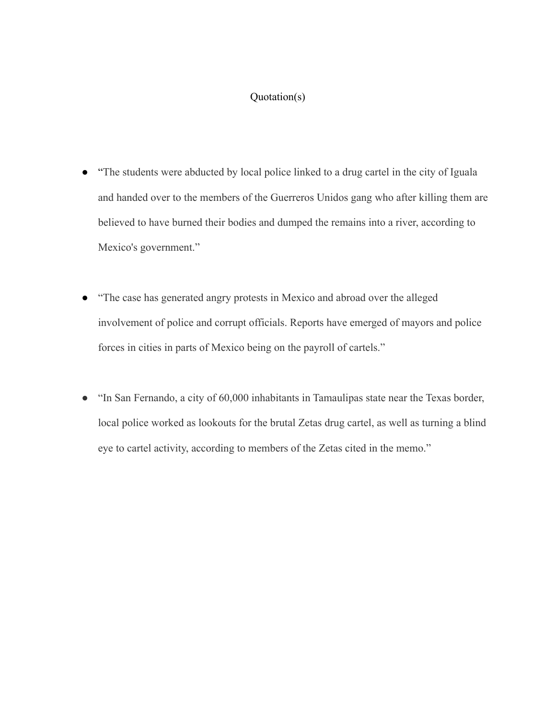# Quotation(s)

- "The students were abducted by local police linked to a drug cartel in the city of Iguala and handed over to the members of the Guerreros Unidos gang who after killing them are believed to have burned their bodies and dumped the remains into a river, according to Mexico's government."
- "The case has generated angry protests in Mexico and abroad over the alleged involvement of police and corrupt officials. Reports have emerged of mayors and police forces in cities in parts of Mexico being on the payroll of cartels."
- "In San Fernando, a city of 60,000 inhabitants in Tamaulipas state near the Texas border, local police worked as lookouts for the brutal Zetas drug cartel, as well as turning a blind eye to cartel activity, according to members of the Zetas cited in the memo."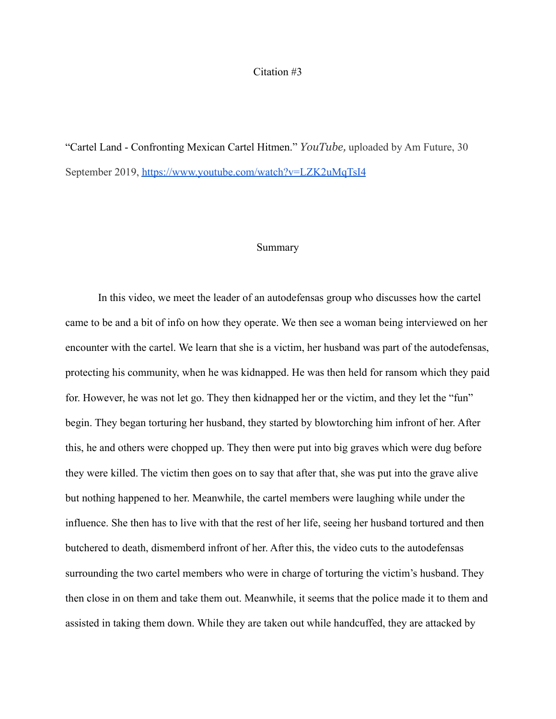## Citation #3

"Cartel Land - Confronting Mexican Cartel Hitmen." *YouTube,* uploaded by Am Future, 30 September 2019, <https://www.youtube.com/watch?v=LZK2uMqTsI4>

### Summary

In this video, we meet the leader of an autodefensas group who discusses how the cartel came to be and a bit of info on how they operate. We then see a woman being interviewed on her encounter with the cartel. We learn that she is a victim, her husband was part of the autodefensas, protecting his community, when he was kidnapped. He was then held for ransom which they paid for. However, he was not let go. They then kidnapped her or the victim, and they let the "fun" begin. They began torturing her husband, they started by blowtorching him infront of her. After this, he and others were chopped up. They then were put into big graves which were dug before they were killed. The victim then goes on to say that after that, she was put into the grave alive but nothing happened to her. Meanwhile, the cartel members were laughing while under the influence. She then has to live with that the rest of her life, seeing her husband tortured and then butchered to death, dismemberd infront of her. After this, the video cuts to the autodefensas surrounding the two cartel members who were in charge of torturing the victim's husband. They then close in on them and take them out. Meanwhile, it seems that the police made it to them and assisted in taking them down. While they are taken out while handcuffed, they are attacked by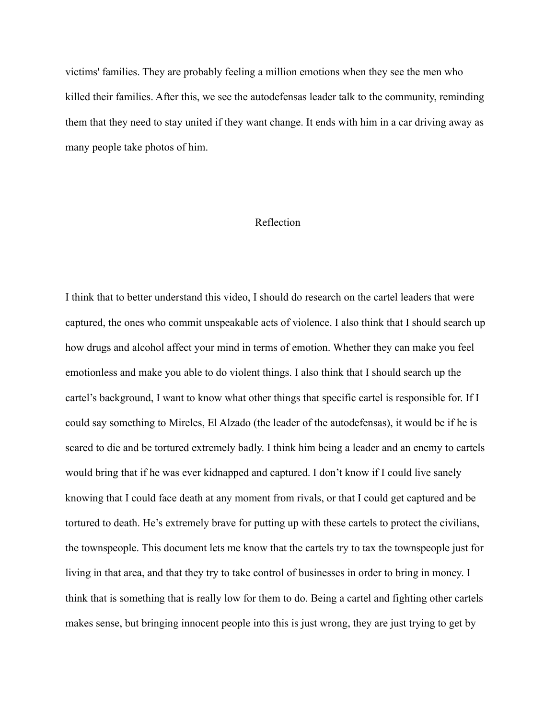victims' families. They are probably feeling a million emotions when they see the men who killed their families. After this, we see the autodefensas leader talk to the community, reminding them that they need to stay united if they want change. It ends with him in a car driving away as many people take photos of him.

## Reflection

I think that to better understand this video, I should do research on the cartel leaders that were captured, the ones who commit unspeakable acts of violence. I also think that I should search up how drugs and alcohol affect your mind in terms of emotion. Whether they can make you feel emotionless and make you able to do violent things. I also think that I should search up the cartel's background, I want to know what other things that specific cartel is responsible for. If I could say something to Mireles, El Alzado (the leader of the autodefensas), it would be if he is scared to die and be tortured extremely badly. I think him being a leader and an enemy to cartels would bring that if he was ever kidnapped and captured. I don't know if I could live sanely knowing that I could face death at any moment from rivals, or that I could get captured and be tortured to death. He's extremely brave for putting up with these cartels to protect the civilians, the townspeople. This document lets me know that the cartels try to tax the townspeople just for living in that area, and that they try to take control of businesses in order to bring in money. I think that is something that is really low for them to do. Being a cartel and fighting other cartels makes sense, but bringing innocent people into this is just wrong, they are just trying to get by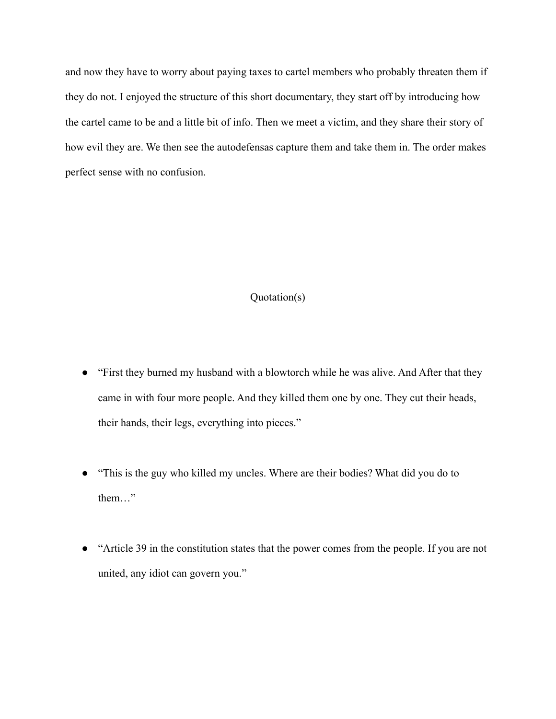and now they have to worry about paying taxes to cartel members who probably threaten them if they do not. I enjoyed the structure of this short documentary, they start off by introducing how the cartel came to be and a little bit of info. Then we meet a victim, and they share their story of how evil they are. We then see the autodefensas capture them and take them in. The order makes perfect sense with no confusion.

# Quotation(s)

- "First they burned my husband with a blowtorch while he was alive. And After that they came in with four more people. And they killed them one by one. They cut their heads, their hands, their legs, everything into pieces."
- "This is the guy who killed my uncles. Where are their bodies? What did you do to them…"
- "Article 39 in the constitution states that the power comes from the people. If you are not united, any idiot can govern you."